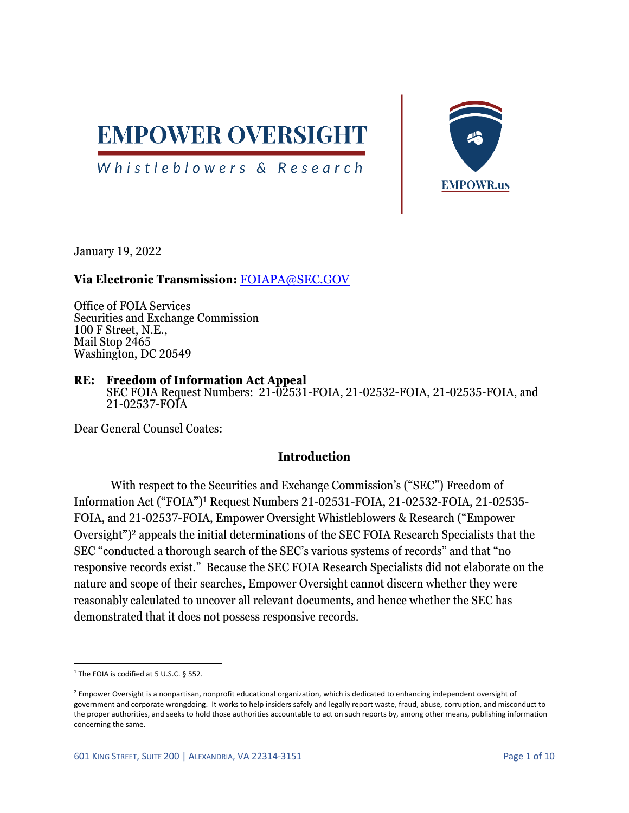# **EMPOWER OVERSIGHT**

## Whistleblowers & Research



January 19, 2022

#### **Via Electronic Transmission:** [FOIAPA@SEC.GOV](mailto:FOIAPA@SEC.GOV)

Office of FOIA Services Securities and Exchange Commission 100 F Street, N.E., Mail Stop 2465 Washington, DC 20549

#### **RE: Freedom of Information Act Appeal** SEC FOIA Request Numbers: 21-02531-FOIA, 21-02532-FOIA, 21-02535-FOIA, and 21-02537-FOIA

Dear General Counsel Coates:

#### **Introduction**

With respect to the Securities and Exchange Commission's ("SEC") Freedom of Information Act ("FOIA")<sup>1</sup> Request Numbers 21-02531-FOIA, 21-02532-FOIA, 21-02535- FOIA, and 21-02537-FOIA, Empower Oversight Whistleblowers & Research ("Empower Oversight")<sup>2</sup> appeals the initial determinations of the SEC FOIA Research Specialists that the SEC "conducted a thorough search of the SEC's various systems of records" and that "no responsive records exist." Because the SEC FOIA Research Specialists did not elaborate on the nature and scope of their searches, Empower Oversight cannot discern whether they were reasonably calculated to uncover all relevant documents, and hence whether the SEC has demonstrated that it does not possess responsive records.

<sup>&</sup>lt;sup>1</sup> The FOIA is codified at 5 U.S.C. § 552.

<sup>&</sup>lt;sup>2</sup> Empower Oversight is a nonpartisan, nonprofit educational organization, which is dedicated to enhancing independent oversight of government and corporate wrongdoing. It works to help insiders safely and legally report waste, fraud, abuse, corruption, and misconduct to the proper authorities, and seeks to hold those authorities accountable to act on such reports by, among other means, publishing information concerning the same.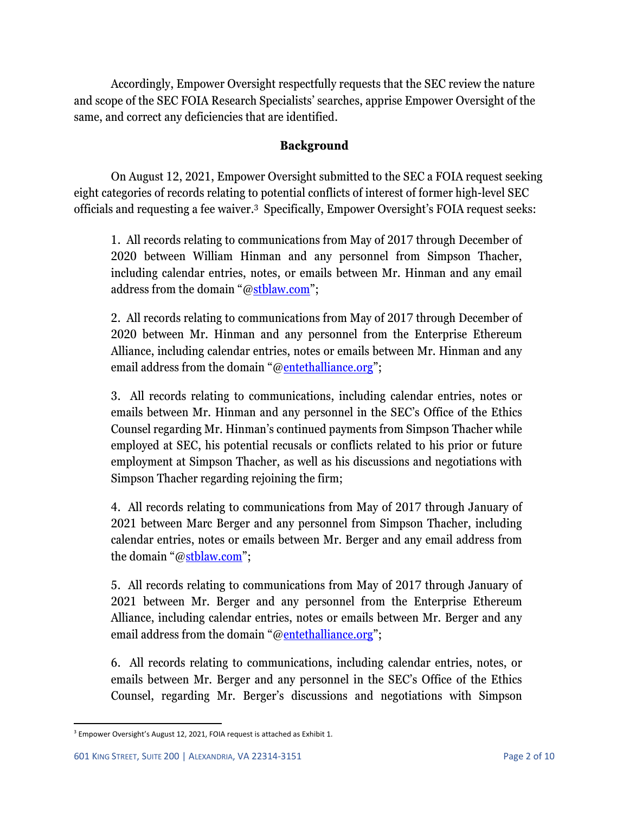Accordingly, Empower Oversight respectfully requests that the SEC review the nature and scope of the SEC FOIA Research Specialists' searches, apprise Empower Oversight of the same, and correct any deficiencies that are identified.

### **Background**

On August 12, 2021, Empower Oversight submitted to the SEC a FOIA request seeking eight categories of records relating to potential conflicts of interest of former high-level SEC officials and requesting a fee waiver.<sup>3</sup> Specifically, Empower Oversight's FOIA request seeks:

1. All records relating to communications from May of 2017 through December of 2020 between William Hinman and any personnel from Simpson Thacher, including calendar entries, notes, or emails between Mr. Hinman and any email address from the domain "@[stblaw.com](http://stblaw.com/)";

2. All records relating to communications from May of 2017 through December of 2020 between Mr. Hinman and any personnel from the Enterprise Ethereum Alliance, including calendar entries, notes or emails between Mr. Hinman and any email address from the domain "@[entethalliance.org](http://entethalliance.org/)";

3. All records relating to communications, including calendar entries, notes or emails between Mr. Hinman and any personnel in the SEC's Office of the Ethics Counsel regarding Mr. Hinman's continued payments from Simpson Thacher while employed at SEC, his potential recusals or conflicts related to his prior or future employment at Simpson Thacher, as well as his discussions and negotiations with Simpson Thacher regarding rejoining the firm;

4. All records relating to communications from May of 2017 through January of 2021 between Marc Berger and any personnel from Simpson Thacher, including calendar entries, notes or emails between Mr. Berger and any email address from the domain "@[stblaw.com](http://stblaw.com/)";

5. All records relating to communications from May of 2017 through January of 2021 between Mr. Berger and any personnel from the Enterprise Ethereum Alliance, including calendar entries, notes or emails between Mr. Berger and any email address from the domain "@[entethalliance.org](http://entethalliance.org/)";

6. All records relating to communications, including calendar entries, notes, or emails between Mr. Berger and any personnel in the SEC's Office of the Ethics Counsel, regarding Mr. Berger's discussions and negotiations with Simpson

<sup>&</sup>lt;sup>3</sup> Empower Oversight's August 12, 2021, FOIA request is attached as Exhibit 1.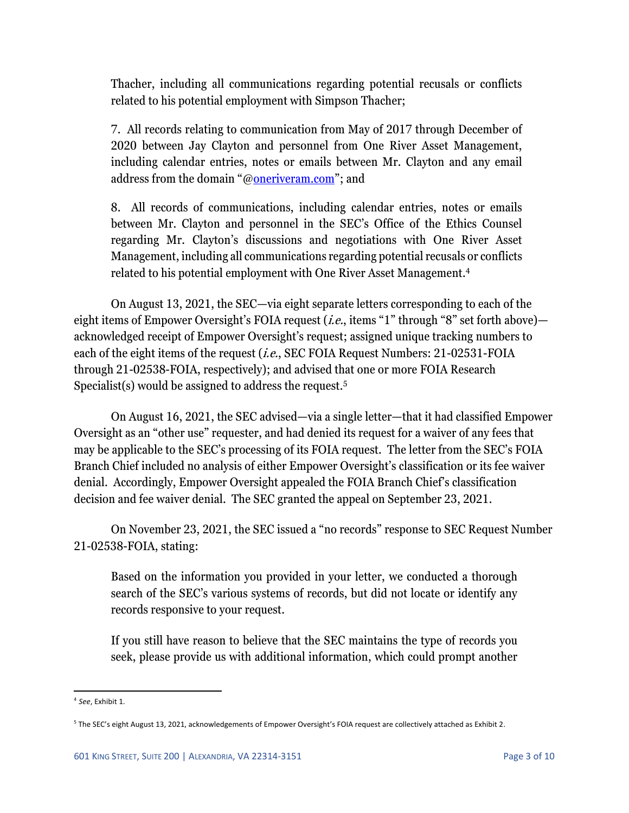Thacher, including all communications regarding potential recusals or conflicts related to his potential employment with Simpson Thacher;

7. All records relating to communication from May of 2017 through December of 2020 between Jay Clayton and personnel from One River Asset Management, including calendar entries, notes or emails between Mr. Clayton and any email address from the domain "@[oneriveram.com](http://oneriveram.com/)"; and

8. All records of communications, including calendar entries, notes or emails between Mr. Clayton and personnel in the SEC's Office of the Ethics Counsel regarding Mr. Clayton's discussions and negotiations with One River Asset Management, including all communications regarding potential recusals or conflicts related to his potential employment with One River Asset Management.<sup>4</sup>

On August 13, 2021, the SEC—via eight separate letters corresponding to each of the eight items of Empower Oversight's FOIA request (*i.e.*, items "1" through "8" set forth above) acknowledged receipt of Empower Oversight's request; assigned unique tracking numbers to each of the eight items of the request *(i.e.*, SEC FOIA Request Numbers: 21-02531-FOIA through 21-02538-FOIA, respectively); and advised that one or more FOIA Research Specialist(s) would be assigned to address the request. 5

On August 16, 2021, the SEC advised—via a single letter—that it had classified Empower Oversight as an "other use" requester, and had denied its request for a waiver of any fees that may be applicable to the SEC's processing of its FOIA request. The letter from the SEC's FOIA Branch Chief included no analysis of either Empower Oversight's classification or its fee waiver denial. Accordingly, Empower Oversight appealed the FOIA Branch Chief's classification decision and fee waiver denial. The SEC granted the appeal on September 23, 2021.

On November 23, 2021, the SEC issued a "no records" response to SEC Request Number 21-02538-FOIA, stating:

Based on the information you provided in your letter, we conducted a thorough search of the SEC's various systems of records, but did not locate or identify any records responsive to your request.

If you still have reason to believe that the SEC maintains the type of records you seek, please provide us with additional information, which could prompt another

<sup>4</sup> *See*, Exhibit 1.

<sup>5</sup> The SEC's eight August 13, 2021, acknowledgements of Empower Oversight's FOIA request are collectively attached as Exhibit 2.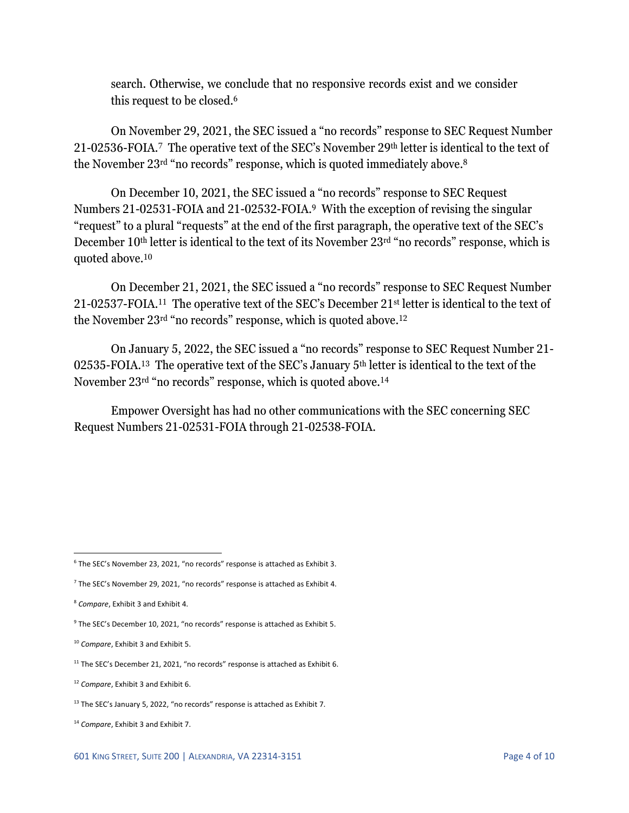search. Otherwise, we conclude that no responsive records exist and we consider this request to be closed.<sup>6</sup>

On November 29, 2021, the SEC issued a "no records" response to SEC Request Number 21-02536-FOIA. <sup>7</sup> The operative text of the SEC's November 29th letter is identical to the text of the November 23<sup>rd</sup> "no records" response, which is quoted immediately above.<sup>8</sup>

On December 10, 2021, the SEC issued a "no records" response to SEC Request Numbers 21-02531-FOIA and 21-02532-FOIA. <sup>9</sup> With the exception of revising the singular "request" to a plural "requests" at the end of the first paragraph, the operative text of the SEC's December 10th letter is identical to the text of its November 23rd "no records" response, which is quoted above.<sup>10</sup>

On December 21, 2021, the SEC issued a "no records" response to SEC Request Number 21-02537-FOIA. <sup>11</sup> The operative text of the SEC's December 21st letter is identical to the text of the November 23rd "no records" response, which is quoted above.<sup>12</sup>

On January 5, 2022, the SEC issued a "no records" response to SEC Request Number 21- 02535-FOIA. <sup>13</sup> The operative text of the SEC's January 5th letter is identical to the text of the November 23rd "no records" response, which is quoted above.<sup>14</sup>

Empower Oversight has had no other communications with the SEC concerning SEC Request Numbers 21-02531-FOIA through 21-02538-FOIA.

 $6$  The SEC's November 23, 2021, "no records" response is attached as Exhibit 3.

 $^7$  The SEC's November 29, 2021, "no records" response is attached as Exhibit 4.

<sup>8</sup> *Compare*, Exhibit 3 and Exhibit 4.

<sup>&</sup>lt;sup>9</sup> The SEC's December 10, 2021, "no records" response is attached as Exhibit 5.

<sup>10</sup> *Compare*, Exhibit 3 and Exhibit 5.

 $11$  The SEC's December 21, 2021, "no records" response is attached as Exhibit 6.

<sup>12</sup> *Compare*, Exhibit 3 and Exhibit 6.

<sup>&</sup>lt;sup>13</sup> The SEC's January 5, 2022, "no records" response is attached as Exhibit 7.

<sup>14</sup> *Compare*, Exhibit 3 and Exhibit 7.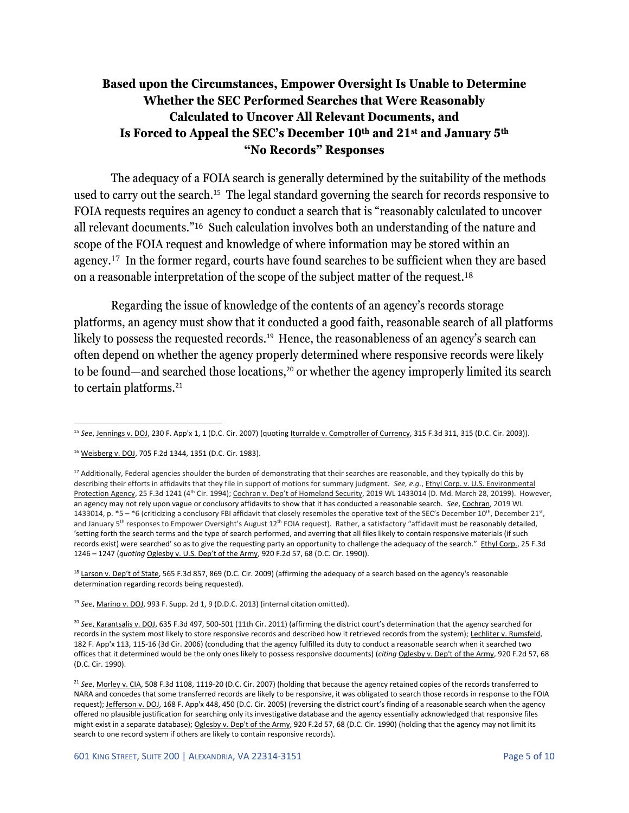## **Based upon the Circumstances, Empower Oversight Is Unable to Determine Whether the SEC Performed Searches that Were Reasonably Calculated to Uncover All Relevant Documents, and Is Forced to Appeal the SEC's December 10th and 21st and January 5th "No Records" Responses**

The adequacy of a FOIA search is generally determined by the suitability of the methods used to carry out the search.<sup>15</sup> The legal standard governing the search for records responsive to FOIA requests requires an agency to conduct a search that is "reasonably calculated to uncover all relevant documents."16 Such calculation involves both an understanding of the nature and scope of the FOIA request and knowledge of where information may be stored within an agency.17 In the former regard, courts have found searches to be sufficient when they are based on a reasonable interpretation of the scope of the subject matter of the request.<sup>18</sup>

Regarding the issue of knowledge of the contents of an agency's records storage platforms, an agency must show that it conducted a good faith, reasonable search of all platforms likely to possess the requested records.<sup>19</sup> Hence, the reasonableness of an agency's search can often depend on whether the agency properly determined where responsive records were likely to be found—and searched those locations,<sup>20</sup> or whether the agency improperly limited its search to certain platforms. 21

<sup>18</sup> Larson v. Dep't of State, 565 F.3d 857, 869 (D.C. Cir. 2009) (affirming the adequacy of a search based on the agency's reasonable determination regarding records being requested).

<sup>19</sup> *See*, Marino v. DOJ, 993 F. Supp. 2d 1, 9 (D.D.C. 2013) (internal citation omitted).

<sup>20</sup> *See*, Karantsalis v. DOJ, 635 F.3d 497, 500-501 (11th Cir. 2011) (affirming the district court's determination that the agency searched for records in the system most likely to store responsive records and described how it retrieved records from the system); Lechliter v. Rumsfeld, 182 F. App'x 113, 115-16 (3d Cir. 2006) (concluding that the agency fulfilled its duty to conduct a reasonable search when it searched two offices that it determined would be the only ones likely to possess responsive documents) (*citing* Oglesby v. Dep't of the Army, 920 F.2d 57, 68 (D.C. Cir. 1990).

<sup>&</sup>lt;sup>15</sup> See, Jennings v. DOJ, 230 F. App'x 1, 1 (D.C. Cir. 2007) (quoting Iturralde v. Comptroller of Currency, 315 F.3d 311, 315 (D.C. Cir. 2003)).

<sup>16</sup> Weisberg v. DOJ, 705 F.2d 1344, 1351 (D.C. Cir. 1983).

<sup>&</sup>lt;sup>17</sup> Additionally, Federal agencies shoulder the burden of demonstrating that their searches are reasonable, and they typically do this by describing their efforts in affidavits that they file in support of motions for summary judgment. *See, e.g.*, Ethyl Corp. v. U.S. Environmental Protection Agency, 25 F.3d 1241 (4<sup>th</sup> Cir. 1994); Cochran v. Dep't of Homeland Security, 2019 WL 1433014 (D. Md. March 28, 20199). However, an agency may not rely upon vague or conclusory affidavits to show that it has conducted a reasonable search. *See*, Cochran, 2019 WL 1433014, p. \*5 – \*6 (criticizing a conclusory FBI affidavit that closely resembles the operative text of the SEC's December 10<sup>th</sup>, December 21<sup>st</sup>, and January 5<sup>th</sup> responses to Empower Oversight's August 12<sup>th</sup> FOIA request). Rather, a satisfactory "affidavit must be reasonably detailed, 'setting forth the search terms and the type of search performed, and averring that all files likely to contain responsive materials (if such records exist) were searched' so as to give the requesting party an opportunity to challenge the adequacy of the search." Ethyl Corp., 25 F.3d 1246 – 1247 (*quoting* Oglesby v. U.S. Dep't of the Army, 920 F.2d 57, 68 (D.C. Cir. 1990)).

<sup>&</sup>lt;sup>21</sup> See, Morley v. CIA, 508 F.3d 1108, 1119-20 (D.C. Cir. 2007) (holding that because the agency retained copies of the records transferred to NARA and concedes that some transferred records are likely to be responsive, it was obligated to search those records in response to the FOIA request); Jefferson v. DOJ, 168 F. App'x 448, 450 (D.C. Cir. 2005) (reversing the district court's finding of a reasonable search when the agency offered no plausible justification for searching only its investigative database and the agency essentially acknowledged that responsive files might exist in a separate database); Oglesby v. Dep't of the Army, 920 F.2d 57, 68 (D.C. Cir. 1990) (holding that the agency may not limit its search to one record system if others are likely to contain responsive records).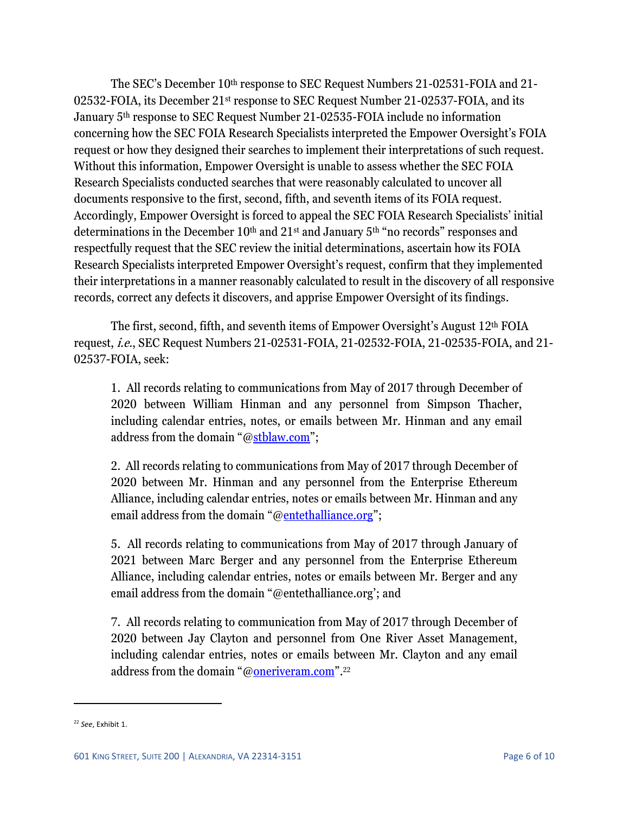The SEC's December 10<sup>th</sup> response to SEC Request Numbers 21-02531-FOIA and 21-02532-FOIA, its December 21st response to SEC Request Number 21-02537-FOIA, and its January 5th response to SEC Request Number 21-02535-FOIA include no information concerning how the SEC FOIA Research Specialists interpreted the Empower Oversight's FOIA request or how they designed their searches to implement their interpretations of such request. Without this information, Empower Oversight is unable to assess whether the SEC FOIA Research Specialists conducted searches that were reasonably calculated to uncover all documents responsive to the first, second, fifth, and seventh items of its FOIA request. Accordingly, Empower Oversight is forced to appeal the SEC FOIA Research Specialists' initial determinations in the December 10th and 21st and January 5th "no records" responses and respectfully request that the SEC review the initial determinations, ascertain how its FOIA Research Specialists interpreted Empower Oversight's request, confirm that they implemented their interpretations in a manner reasonably calculated to result in the discovery of all responsive records, correct any defects it discovers, and apprise Empower Oversight of its findings.

The first, second, fifth, and seventh items of Empower Oversight's August 12th FOIA request, i.e., SEC Request Numbers 21-02531-FOIA, 21-02532-FOIA, 21-02535-FOIA, and 21- 02537-FOIA, seek:

1. All records relating to communications from May of 2017 through December of 2020 between William Hinman and any personnel from Simpson Thacher, including calendar entries, notes, or emails between Mr. Hinman and any email address from the domain "@[stblaw.com](http://stblaw.com/)";

2. All records relating to communications from May of 2017 through December of 2020 between Mr. Hinman and any personnel from the Enterprise Ethereum Alliance, including calendar entries, notes or emails between Mr. Hinman and any email address from the domain "@[entethalliance.org](http://entethalliance.org/)";

5. All records relating to communications from May of 2017 through January of 2021 between Marc Berger and any personnel from the Enterprise Ethereum Alliance, including calendar entries, notes or emails between Mr. Berger and any email address from the domain "@entethalliance.org'; and

7. All records relating to communication from May of 2017 through December of 2020 between Jay Clayton and personnel from One River Asset Management, including calendar entries, notes or emails between Mr. Clayton and any email address from the domain "@<u>[oneriveram.com](http://oneriveram.com/)</u>".<sup>22</sup>

<sup>22</sup> *See*, Exhibit 1.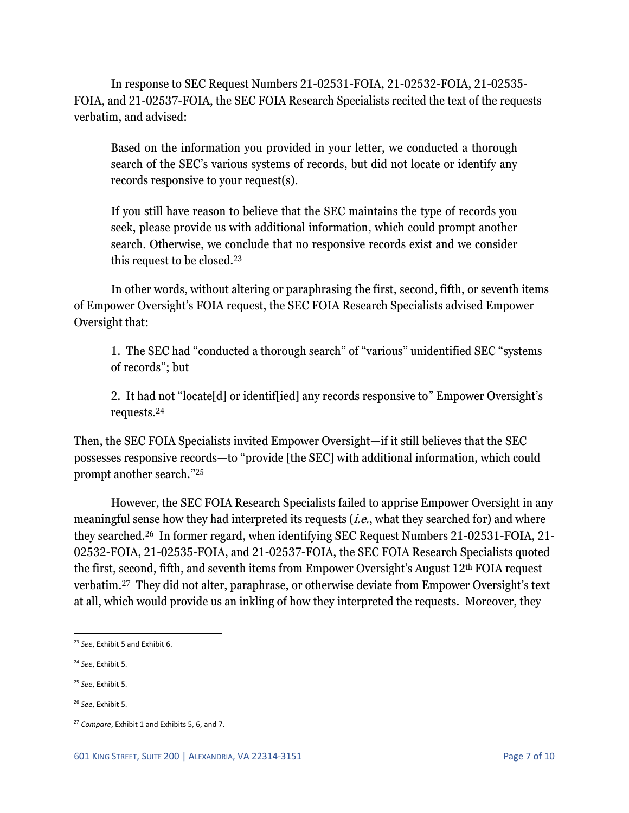In response to SEC Request Numbers 21-02531-FOIA, 21-02532-FOIA, 21-02535- FOIA, and 21-02537-FOIA, the SEC FOIA Research Specialists recited the text of the requests verbatim, and advised:

Based on the information you provided in your letter, we conducted a thorough search of the SEC's various systems of records, but did not locate or identify any records responsive to your request(s).

If you still have reason to believe that the SEC maintains the type of records you seek, please provide us with additional information, which could prompt another search. Otherwise, we conclude that no responsive records exist and we consider this request to be closed.<sup>23</sup>

In other words, without altering or paraphrasing the first, second, fifth, or seventh items of Empower Oversight's FOIA request, the SEC FOIA Research Specialists advised Empower Oversight that:

1. The SEC had "conducted a thorough search" of "various" unidentified SEC "systems of records"; but

2. It had not "locate[d] or identif[ied] any records responsive to" Empower Oversight's requests.<sup>24</sup>

Then, the SEC FOIA Specialists invited Empower Oversight—if it still believes that the SEC possesses responsive records—to "provide [the SEC] with additional information, which could prompt another search."<sup>25</sup>

However, the SEC FOIA Research Specialists failed to apprise Empower Oversight in any meaningful sense how they had interpreted its requests  $(i.e.,$  what they searched for) and where they searched. <sup>26</sup> In former regard, when identifying SEC Request Numbers 21-02531-FOIA, 21- 02532-FOIA, 21-02535-FOIA, and 21-02537-FOIA, the SEC FOIA Research Specialists quoted the first, second, fifth, and seventh items from Empower Oversight's August 12th FOIA request verbatim.27 They did not alter, paraphrase, or otherwise deviate from Empower Oversight's text at all, which would provide us an inkling of how they interpreted the requests. Moreover, they

<sup>23</sup> *See*, Exhibit 5 and Exhibit 6.

<sup>24</sup> *See*, Exhibit 5.

<sup>25</sup> *See*, Exhibit 5.

<sup>26</sup> *See*, Exhibit 5.

<sup>27</sup> *Compare*, Exhibit 1 and Exhibits 5, 6, and 7.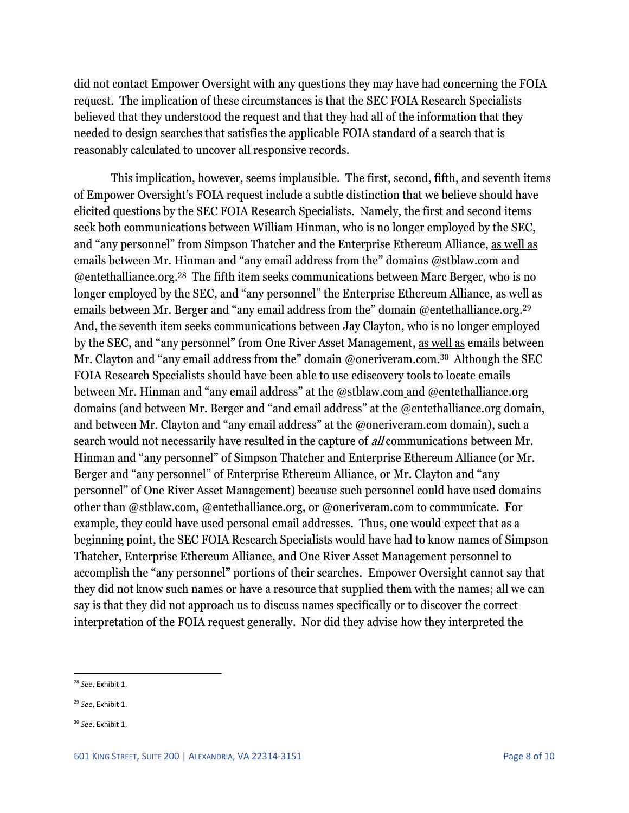did not contact Empower Oversight with any questions they may have had concerning the FOIA request. The implication of these circumstances is that the SEC FOIA Research Specialists believed that they understood the request and that they had all of the information that they needed to design searches that satisfies the applicable FOIA standard of a search that is reasonably calculated to uncover all responsive records.

This implication, however, seems implausible. The first, second, fifth, and seventh items of Empower Oversight's FOIA request include a subtle distinction that we believe should have elicited questions by the SEC FOIA Research Specialists. Namely, the first and second items seek both communications between William Hinman, who is no longer employed by the SEC, and "any personnel" from Simpson Thatcher and the Enterprise Ethereum Alliance, as well as emails between Mr. Hinman and "any email address from the" domains @stblaw.com and @entethalliance.org. <sup>28</sup> The fifth item seeks communications between Marc Berger, who is no longer employed by the SEC, and "any personnel" the Enterprise Ethereum Alliance, as well as emails between Mr. Berger and "any email address from the" domain @entethalliance.org.<sup>29</sup> And, the seventh item seeks communications between Jay Clayton, who is no longer employed by the SEC, and "any personnel" from One River Asset Management, as well as emails between Mr. Clayton and "any email address from the" domain @oneriveram.com. <sup>30</sup> Although the SEC FOIA Research Specialists should have been able to use ediscovery tools to locate emails between Mr. Hinman and "any email address" at the @stblaw.com and @entethalliance.org domains (and between Mr. Berger and "and email address" at the @entethalliance.org domain, and between Mr. Clayton and "any email address" at the @oneriveram.com domain), such a search would not necessarily have resulted in the capture of *all* communications between Mr. Hinman and "any personnel" of Simpson Thatcher and Enterprise Ethereum Alliance (or Mr. Berger and "any personnel" of Enterprise Ethereum Alliance, or Mr. Clayton and "any personnel" of One River Asset Management) because such personnel could have used domains other than @stblaw.com, @entethalliance.org, or @oneriveram.com to communicate. For example, they could have used personal email addresses. Thus, one would expect that as a beginning point, the SEC FOIA Research Specialists would have had to know names of Simpson Thatcher, Enterprise Ethereum Alliance, and One River Asset Management personnel to accomplish the "any personnel" portions of their searches. Empower Oversight cannot say that they did not know such names or have a resource that supplied them with the names; all we can say is that they did not approach us to discuss names specifically or to discover the correct interpretation of the FOIA request generally. Nor did they advise how they interpreted the

<sup>28</sup> *See*, Exhibit 1.

<sup>29</sup> *See*, Exhibit 1.

<sup>30</sup> *See*, Exhibit 1.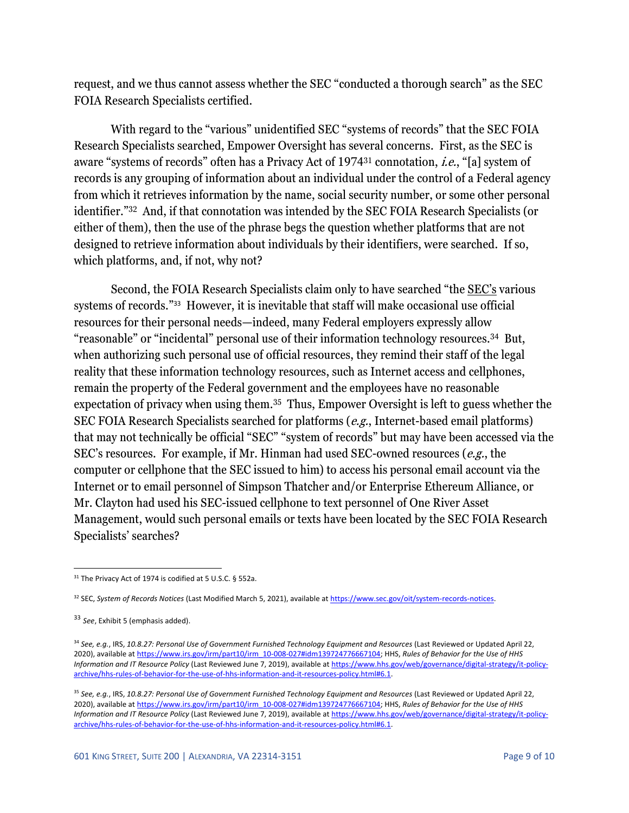request, and we thus cannot assess whether the SEC "conducted a thorough search" as the SEC FOIA Research Specialists certified.

With regard to the "various" unidentified SEC "systems of records" that the SEC FOIA Research Specialists searched, Empower Oversight has several concerns. First, as the SEC is aware "systems of records" often has a Privacy Act of 1974<sup>31</sup> connotation, *i.e.*, "[a] system of records is any grouping of information about an individual under the control of a Federal agency from which it retrieves information by the name, social security number, or some other personal identifier."32 And, if that connotation was intended by the SEC FOIA Research Specialists (or either of them), then the use of the phrase begs the question whether platforms that are not designed to retrieve information about individuals by their identifiers, were searched. If so, which platforms, and, if not, why not?

Second, the FOIA Research Specialists claim only to have searched "the SEC's various systems of records."<sup>33</sup> However, it is inevitable that staff will make occasional use official resources for their personal needs—indeed, many Federal employers expressly allow "reasonable" or "incidental" personal use of their information technology resources.34 But, when authorizing such personal use of official resources, they remind their staff of the legal reality that these information technology resources, such as Internet access and cellphones, remain the property of the Federal government and the employees have no reasonable expectation of privacy when using them.<sup>35</sup> Thus, Empower Oversight is left to guess whether the SEC FOIA Research Specialists searched for platforms (e.g., Internet-based email platforms) that may not technically be official "SEC" "system of records" but may have been accessed via the SEC's resources. For example, if Mr. Hinman had used SEC-owned resources  $(e.g., the$ computer or cellphone that the SEC issued to him) to access his personal email account via the Internet or to email personnel of Simpson Thatcher and/or Enterprise Ethereum Alliance, or Mr. Clayton had used his SEC-issued cellphone to text personnel of One River Asset Management, would such personal emails or texts have been located by the SEC FOIA Research Specialists' searches?

<sup>31</sup> The Privacy Act of 1974 is codified at 5 U.S.C. § 552a.

<sup>32</sup> SEC, *System of Records Notices* (Last Modified March 5, 2021), available at [https://www.sec.gov/oit/system-records-notices.](https://www.sec.gov/oit/system-records-notices)

<sup>33</sup> *See*, Exhibit 5 (emphasis added).

<sup>34</sup> *See, e.g.*, IRS, *10.8.27: Personal Use of Government Furnished Technology Equipment and Resources* (Last Reviewed or Updated April 22, 2020), available a[t https://www.irs.gov/irm/part10/irm\\_10-008-027#idm139724776667104;](https://www.irs.gov/irm/part10/irm_10-008-027#idm139724776667104) HHS, *Rules of Behavior for the Use of HHS Information and IT Resource Policy* (Last Reviewed June 7, 2019), available at [https://www.hhs.gov/web/governance/digital-strategy/it-policy](https://www.hhs.gov/web/governance/digital-strategy/it-policy-archive/hhs-rules-of-behavior-for-the-use-of-hhs-information-and-it-resources-policy.html#6.1)[archive/hhs-rules-of-behavior-for-the-use-of-hhs-information-and-it-resources-policy.html#6.1.](https://www.hhs.gov/web/governance/digital-strategy/it-policy-archive/hhs-rules-of-behavior-for-the-use-of-hhs-information-and-it-resources-policy.html#6.1)

<sup>35</sup> *See, e.g.*, IRS, *10.8.27: Personal Use of Government Furnished Technology Equipment and Resources* (Last Reviewed or Updated April 22, 2020), available a[t https://www.irs.gov/irm/part10/irm\\_10-008-027#idm139724776667104;](https://www.irs.gov/irm/part10/irm_10-008-027#idm139724776667104) HHS, *Rules of Behavior for the Use of HHS Information and IT Resource Policy* (Last Reviewed June 7, 2019), available at [https://www.hhs.gov/web/governance/digital-strategy/it-policy](https://www.hhs.gov/web/governance/digital-strategy/it-policy-archive/hhs-rules-of-behavior-for-the-use-of-hhs-information-and-it-resources-policy.html#6.1)[archive/hhs-rules-of-behavior-for-the-use-of-hhs-information-and-it-resources-policy.html#6.1.](https://www.hhs.gov/web/governance/digital-strategy/it-policy-archive/hhs-rules-of-behavior-for-the-use-of-hhs-information-and-it-resources-policy.html#6.1)